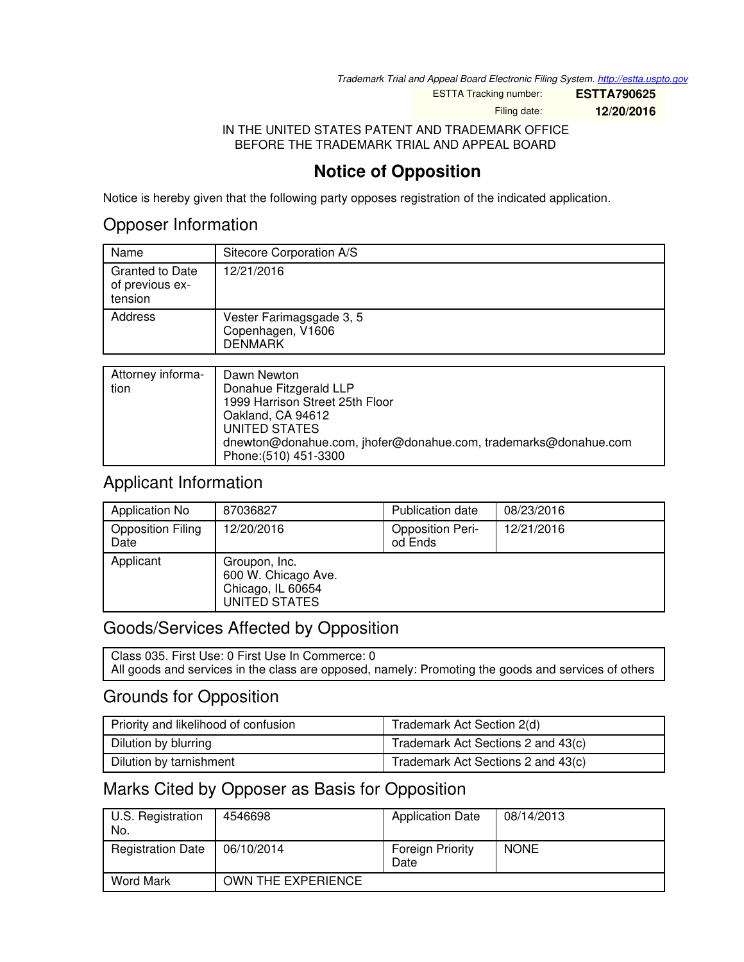*Trademark Trial and Appeal Board Electronic Filing System. <http://estta.uspto.gov>*

ESTTA Tracking number: **ESTTA790625**

Filing date: **12/20/2016**

IN THE UNITED STATES PATENT AND TRADEMARK OFFICE BEFORE THE TRADEMARK TRIAL AND APPEAL BOARD

# **Notice of Opposition**

Notice is hereby given that the following party opposes registration of the indicated application.

## Opposer Information

| Name                                                 | Sitecore Corporation A/S                                        |
|------------------------------------------------------|-----------------------------------------------------------------|
| <b>Granted to Date</b><br>of previous ex-<br>tension | 12/21/2016                                                      |
| Address                                              | Vester Farimagsgade 3, 5<br>Copenhagen, V1606<br><b>DENMARK</b> |
|                                                      |                                                                 |
| $Atturnay$ informa-                                  | Dawn Newton                                                     |

| Attorney informa- | <b>I</b> Dawn Newton                                            |
|-------------------|-----------------------------------------------------------------|
| tion              | Donahue Fitzgerald LLP                                          |
|                   | 1999 Harrison Street 25th Floor                                 |
|                   | Oakland, CA 94612                                               |
|                   | UNITED STATES                                                   |
|                   | dnewton@donahue.com, jhofer@donahue.com, trademarks@donahue.com |
|                   | Phone: (510) 451-3300                                           |

## Applicant Information

| Application No                   | 87036827                                                                   | <b>Publication date</b>            | 08/23/2016 |
|----------------------------------|----------------------------------------------------------------------------|------------------------------------|------------|
| <b>Opposition Filing</b><br>Date | 12/20/2016                                                                 | <b>Opposition Peri-</b><br>od Ends | 12/21/2016 |
| Applicant                        | Groupon, Inc.<br>600 W. Chicago Ave.<br>Chicago, IL 60654<br>UNITED STATES |                                    |            |

## Goods/Services Affected by Opposition

Class 035. First Use: 0 First Use In Commerce: 0 All goods and services in the class are opposed, namely: Promoting the goods and services of others

## Grounds for Opposition

| Priority and likelihood of confusion | Trademark Act Section 2(d)         |
|--------------------------------------|------------------------------------|
| Dilution by blurring                 | Trademark Act Sections 2 and 43(c) |
| Dilution by tarnishment              | Trademark Act Sections 2 and 43(c) |

## Marks Cited by Opposer as Basis for Opposition

| U.S. Registration<br>No. | 4546698            | <b>Application Date</b>         | 08/14/2013  |
|--------------------------|--------------------|---------------------------------|-------------|
| <b>Registration Date</b> | 06/10/2014         | <b>Foreign Priority</b><br>Date | <b>NONE</b> |
| <b>Word Mark</b>         | OWN THE EXPERIENCE |                                 |             |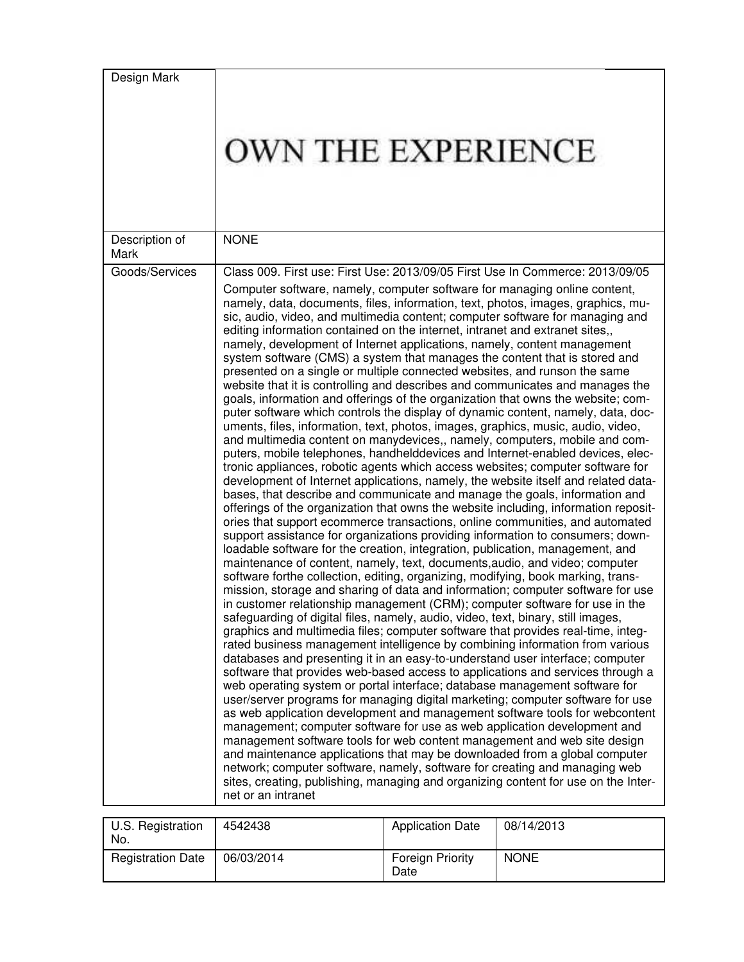| Design Mark<br>Description of | OWN THE EXPERIENCE<br><b>NONE</b>                                                                                                                                                                                                                                                                                                                                                                                                                                                                                                                                                                                                                                                                                                                                                                                                                                                                                                                                                                                                                                                                                                                                                                                                                                                                                                                                                                                                                                                                                                                                                                                                                                                                                                                                                                                                                                                                                                                                                                                                                                                                                                                                                                                                                                                                                                                                                                                                                                                                                                                                                                                                                                                                                                                                                                                                                                                                                                                                                                                                                                                                                                                                                                                  |
|-------------------------------|--------------------------------------------------------------------------------------------------------------------------------------------------------------------------------------------------------------------------------------------------------------------------------------------------------------------------------------------------------------------------------------------------------------------------------------------------------------------------------------------------------------------------------------------------------------------------------------------------------------------------------------------------------------------------------------------------------------------------------------------------------------------------------------------------------------------------------------------------------------------------------------------------------------------------------------------------------------------------------------------------------------------------------------------------------------------------------------------------------------------------------------------------------------------------------------------------------------------------------------------------------------------------------------------------------------------------------------------------------------------------------------------------------------------------------------------------------------------------------------------------------------------------------------------------------------------------------------------------------------------------------------------------------------------------------------------------------------------------------------------------------------------------------------------------------------------------------------------------------------------------------------------------------------------------------------------------------------------------------------------------------------------------------------------------------------------------------------------------------------------------------------------------------------------------------------------------------------------------------------------------------------------------------------------------------------------------------------------------------------------------------------------------------------------------------------------------------------------------------------------------------------------------------------------------------------------------------------------------------------------------------------------------------------------------------------------------------------------------------------------------------------------------------------------------------------------------------------------------------------------------------------------------------------------------------------------------------------------------------------------------------------------------------------------------------------------------------------------------------------------------------------------------------------------------------------------------------------------|
| Mark                          |                                                                                                                                                                                                                                                                                                                                                                                                                                                                                                                                                                                                                                                                                                                                                                                                                                                                                                                                                                                                                                                                                                                                                                                                                                                                                                                                                                                                                                                                                                                                                                                                                                                                                                                                                                                                                                                                                                                                                                                                                                                                                                                                                                                                                                                                                                                                                                                                                                                                                                                                                                                                                                                                                                                                                                                                                                                                                                                                                                                                                                                                                                                                                                                                                    |
| Goods/Services                | Class 009. First use: First Use: 2013/09/05 First Use In Commerce: 2013/09/05<br>Computer software, namely, computer software for managing online content,<br>namely, data, documents, files, information, text, photos, images, graphics, mu-<br>sic, audio, video, and multimedia content; computer software for managing and<br>editing information contained on the internet, intranet and extranet sites,,<br>namely, development of Internet applications, namely, content management<br>system software (CMS) a system that manages the content that is stored and<br>presented on a single or multiple connected websites, and runson the same<br>website that it is controlling and describes and communicates and manages the<br>goals, information and offerings of the organization that owns the website; com-<br>puter software which controls the display of dynamic content, namely, data, doc-<br>uments, files, information, text, photos, images, graphics, music, audio, video,<br>and multimedia content on manydevices,, namely, computers, mobile and com-<br>puters, mobile telephones, handhelddevices and Internet-enabled devices, elec-<br>tronic appliances, robotic agents which access websites; computer software for<br>development of Internet applications, namely, the website itself and related data-<br>bases, that describe and communicate and manage the goals, information and<br>offerings of the organization that owns the website including, information reposit-<br>ories that support ecommerce transactions, online communities, and automated<br>support assistance for organizations providing information to consumers; down-<br>loadable software for the creation, integration, publication, management, and<br>maintenance of content, namely, text, documents, audio, and video; computer<br>software forthe collection, editing, organizing, modifying, book marking, trans-<br>mission, storage and sharing of data and information; computer software for use<br>in customer relationship management (CRM); computer software for use in the<br>safeguarding of digital files, namely, audio, video, text, binary, still images,<br>graphics and multimedia files; computer software that provides real-time, integ-<br>rated business management intelligence by combining information from various<br>databases and presenting it in an easy-to-understand user interface; computer<br>software that provides web-based access to applications and services through a<br>web operating system or portal interface; database management software for<br>user/server programs for managing digital marketing; computer software for use<br>as web application development and management software tools for webcontent<br>management; computer software for use as web application development and<br>management software tools for web content management and web site design<br>and maintenance applications that may be downloaded from a global computer<br>network; computer software, namely, software for creating and managing web<br>sites, creating, publishing, managing and organizing content for use on the Inter-<br>net or an intranet |

| U.S. Registration<br>No. | 4542438    | <b>Application Date</b>         | 08/14/2013  |
|--------------------------|------------|---------------------------------|-------------|
| <b>Registration Date</b> | 06/03/2014 | <b>Foreign Priority</b><br>Date | <b>NONE</b> |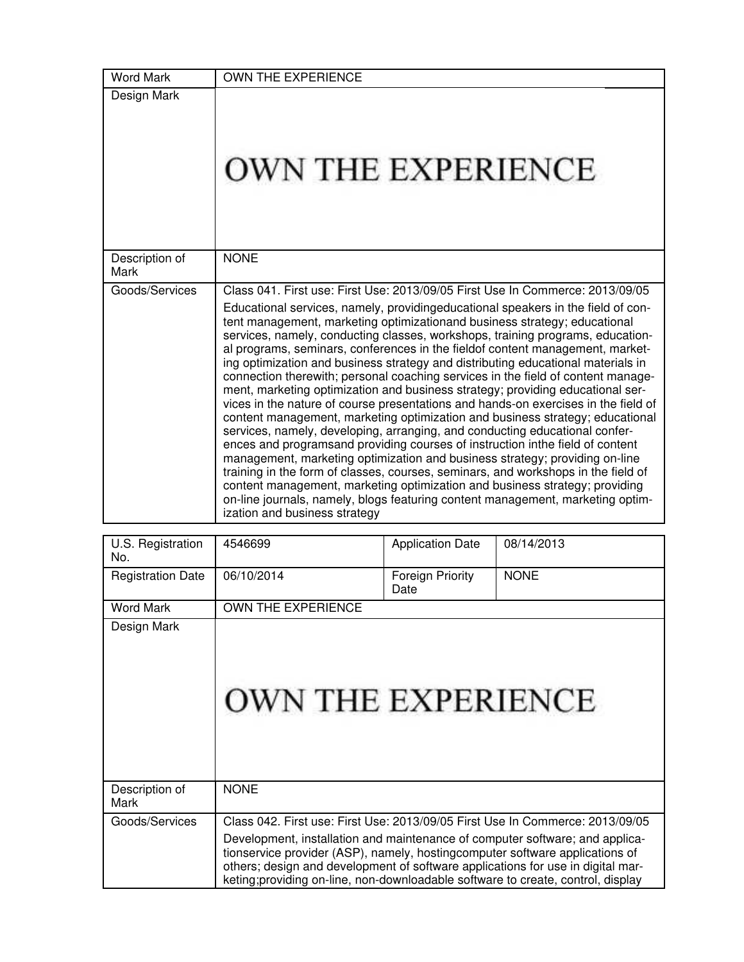| <b>Word Mark</b>        | <b>OWN THE EXPERIENCE</b>                                                                                                                                                                                                                                                                                                                                                                                                                                                                                                                                                                                                                                                                                                                                                                                                                                                                                                                                                                                                                                                                                                                                                                                                                                                                                                                                                                |
|-------------------------|------------------------------------------------------------------------------------------------------------------------------------------------------------------------------------------------------------------------------------------------------------------------------------------------------------------------------------------------------------------------------------------------------------------------------------------------------------------------------------------------------------------------------------------------------------------------------------------------------------------------------------------------------------------------------------------------------------------------------------------------------------------------------------------------------------------------------------------------------------------------------------------------------------------------------------------------------------------------------------------------------------------------------------------------------------------------------------------------------------------------------------------------------------------------------------------------------------------------------------------------------------------------------------------------------------------------------------------------------------------------------------------|
| Design Mark             | OWN THE EXPERIENCE                                                                                                                                                                                                                                                                                                                                                                                                                                                                                                                                                                                                                                                                                                                                                                                                                                                                                                                                                                                                                                                                                                                                                                                                                                                                                                                                                                       |
| Description of<br>Mark  | <b>NONE</b>                                                                                                                                                                                                                                                                                                                                                                                                                                                                                                                                                                                                                                                                                                                                                                                                                                                                                                                                                                                                                                                                                                                                                                                                                                                                                                                                                                              |
| Goods/Services          | Class 041. First use: First Use: 2013/09/05 First Use In Commerce: 2013/09/05<br>Educational services, namely, providingeducational speakers in the field of con-<br>tent management, marketing optimizationand business strategy; educational<br>services, namely, conducting classes, workshops, training programs, education-<br>al programs, seminars, conferences in the fieldof content management, market-<br>ing optimization and business strategy and distributing educational materials in<br>connection therewith; personal coaching services in the field of content manage-<br>ment, marketing optimization and business strategy; providing educational ser-<br>vices in the nature of course presentations and hands-on exercises in the field of<br>content management, marketing optimization and business strategy; educational<br>services, namely, developing, arranging, and conducting educational confer-<br>ences and programsand providing courses of instruction inthe field of content<br>management, marketing optimization and business strategy; providing on-line<br>training in the form of classes, courses, seminars, and workshops in the field of<br>content management, marketing optimization and business strategy; providing<br>on-line journals, namely, blogs featuring content management, marketing optim-<br>ization and business strategy |
| <b>ILS</b> Registration | 4546699<br>0.8/14/2013<br>Annlication Date                                                                                                                                                                                                                                                                                                                                                                                                                                                                                                                                                                                                                                                                                                                                                                                                                                                                                                                                                                                                                                                                                                                                                                                                                                                                                                                                               |

| U.S. Registration<br>No. | 4546699                                                                                                                                                                                                                                                                                                                              | <b>Application Date</b>  | 08/14/2013                                                                    |
|--------------------------|--------------------------------------------------------------------------------------------------------------------------------------------------------------------------------------------------------------------------------------------------------------------------------------------------------------------------------------|--------------------------|-------------------------------------------------------------------------------|
| <b>Registration Date</b> | 06/10/2014                                                                                                                                                                                                                                                                                                                           | Foreign Priority<br>Date | <b>NONE</b>                                                                   |
| <b>Word Mark</b>         | OWN THE EXPERIENCE                                                                                                                                                                                                                                                                                                                   |                          |                                                                               |
| Design Mark              | <b>OWN THE EXPERIENCE</b>                                                                                                                                                                                                                                                                                                            |                          |                                                                               |
| Description of<br>Mark   | <b>NONE</b>                                                                                                                                                                                                                                                                                                                          |                          |                                                                               |
| Goods/Services           |                                                                                                                                                                                                                                                                                                                                      |                          | Class 042. First use: First Use: 2013/09/05 First Use In Commerce: 2013/09/05 |
|                          | Development, installation and maintenance of computer software; and applica-<br>tionservice provider (ASP), namely, hosting computer software applications of<br>others; design and development of software applications for use in digital mar-<br>keting; providing on-line, non-downloadable software to create, control, display |                          |                                                                               |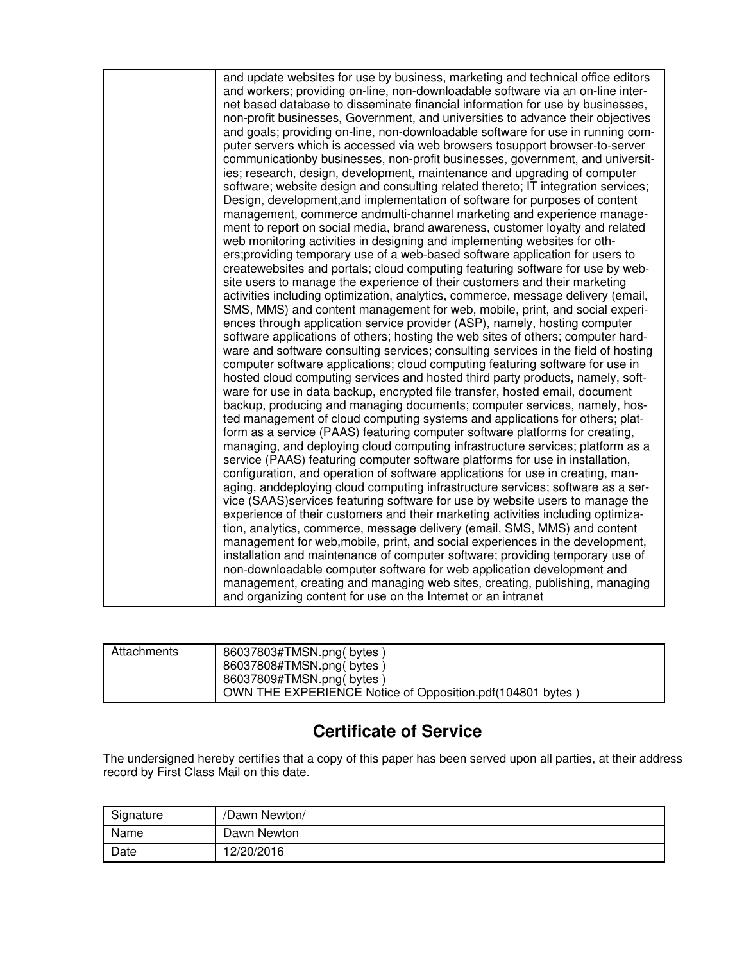| and update websites for use by business, marketing and technical office editors<br>and workers; providing on-line, non-downloadable software via an on-line inter-<br>net based database to disseminate financial information for use by businesses,<br>non-profit businesses, Government, and universities to advance their objectives<br>and goals; providing on-line, non-downloadable software for use in running com-<br>puter servers which is accessed via web browsers tosupport browser-to-server<br>communicationby businesses, non-profit businesses, government, and universit-<br>ies; research, design, development, maintenance and upgrading of computer |
|--------------------------------------------------------------------------------------------------------------------------------------------------------------------------------------------------------------------------------------------------------------------------------------------------------------------------------------------------------------------------------------------------------------------------------------------------------------------------------------------------------------------------------------------------------------------------------------------------------------------------------------------------------------------------|
| software; website design and consulting related thereto; IT integration services;<br>Design, development, and implementation of software for purposes of content<br>management, commerce andmulti-channel marketing and experience manage-                                                                                                                                                                                                                                                                                                                                                                                                                               |
| ment to report on social media, brand awareness, customer loyalty and related<br>web monitoring activities in designing and implementing websites for oth-<br>ers; providing temporary use of a web-based software application for users to<br>createwebsites and portals; cloud computing featuring software for use by web-                                                                                                                                                                                                                                                                                                                                            |
| site users to manage the experience of their customers and their marketing<br>activities including optimization, analytics, commerce, message delivery (email,<br>SMS, MMS) and content management for web, mobile, print, and social experi-<br>ences through application service provider (ASP), namely, hosting computer                                                                                                                                                                                                                                                                                                                                              |
| software applications of others; hosting the web sites of others; computer hard-<br>ware and software consulting services; consulting services in the field of hosting<br>computer software applications; cloud computing featuring software for use in<br>hosted cloud computing services and hosted third party products, namely, soft-                                                                                                                                                                                                                                                                                                                                |
| ware for use in data backup, encrypted file transfer, hosted email, document<br>backup, producing and managing documents; computer services, namely, hos-<br>ted management of cloud computing systems and applications for others; plat-<br>form as a service (PAAS) featuring computer software platforms for creating,                                                                                                                                                                                                                                                                                                                                                |
| managing, and deploying cloud computing infrastructure services; platform as a<br>service (PAAS) featuring computer software platforms for use in installation,<br>configuration, and operation of software applications for use in creating, man-<br>aging, anddeploying cloud computing infrastructure services; software as a ser-                                                                                                                                                                                                                                                                                                                                    |
| vice (SAAS)services featuring software for use by website users to manage the<br>experience of their customers and their marketing activities including optimiza-<br>tion, analytics, commerce, message delivery (email, SMS, MMS) and content<br>management for web, mobile, print, and social experiences in the development,                                                                                                                                                                                                                                                                                                                                          |
| installation and maintenance of computer software; providing temporary use of<br>non-downloadable computer software for web application development and<br>management, creating and managing web sites, creating, publishing, managing<br>and organizing content for use on the Internet or an intranet                                                                                                                                                                                                                                                                                                                                                                  |
|                                                                                                                                                                                                                                                                                                                                                                                                                                                                                                                                                                                                                                                                          |

| Attachments | 86037803#TMSN.png(bytes)<br>86037808#TMSN.png(bytes)<br>86037809#TMSN.png(bytes)<br>OWN THE EXPERIENCE Notice of Opposition.pdf (104801 bytes) |
|-------------|------------------------------------------------------------------------------------------------------------------------------------------------|
|-------------|------------------------------------------------------------------------------------------------------------------------------------------------|

# **Certificate of Service**

The undersigned hereby certifies that a copy of this paper has been served upon all parties, at their address record by First Class Mail on this date.

| Signature | /Dawn Newton/ |
|-----------|---------------|
| Name      | Dawn Newton   |
| Date      | 12/20/2016    |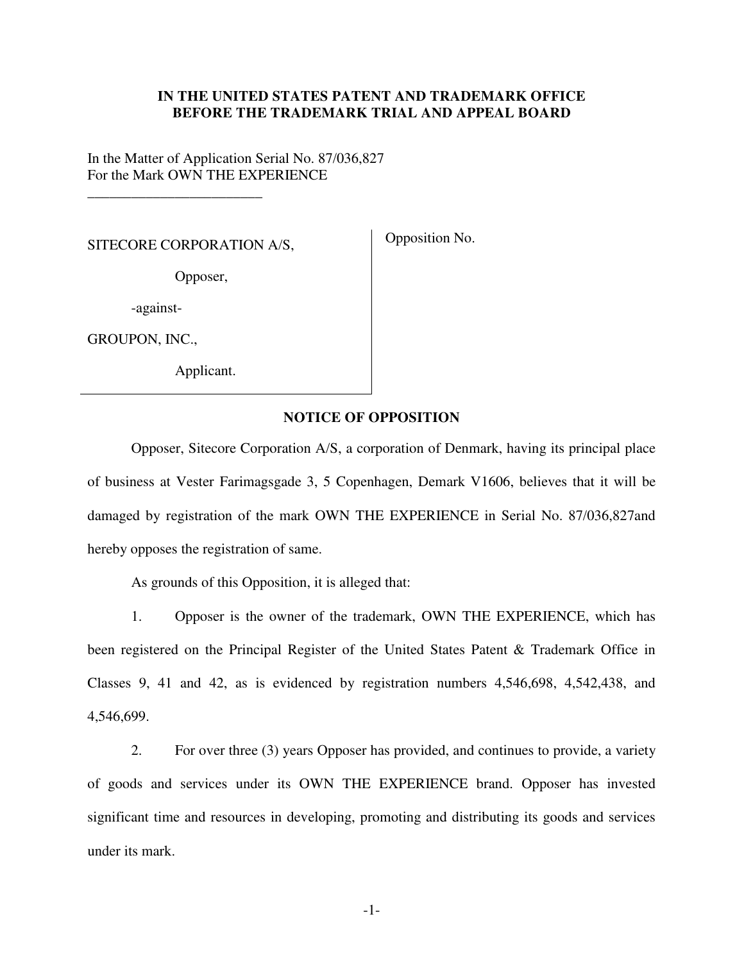### **IN THE UNITED STATES PATENT AND TRADEMARK OFFICE BEFORE THE TRADEMARK TRIAL AND APPEAL BOARD**

In the Matter of Application Serial No. 87/036,827 For the Mark OWN THE EXPERIENCE

SITECORE CORPORATION A/S,

\_\_\_\_\_\_\_\_\_\_\_\_\_\_\_\_\_\_\_\_\_\_\_\_

Opposition No.

Opposer,

-against-

GROUPON, INC.,

Applicant.

#### **NOTICE OF OPPOSITION**

Opposer, Sitecore Corporation A/S, a corporation of Denmark, having its principal place of business at Vester Farimagsgade 3, 5 Copenhagen, Demark V1606, believes that it will be damaged by registration of the mark OWN THE EXPERIENCE in Serial No. 87/036,827and hereby opposes the registration of same.

As grounds of this Opposition, it is alleged that:

1. Opposer is the owner of the trademark, OWN THE EXPERIENCE, which has been registered on the Principal Register of the United States Patent & Trademark Office in Classes 9, 41 and 42, as is evidenced by registration numbers 4,546,698, 4,542,438, and 4,546,699.

2. For over three (3) years Opposer has provided, and continues to provide, a variety of goods and services under its OWN THE EXPERIENCE brand. Opposer has invested significant time and resources in developing, promoting and distributing its goods and services under its mark.

-1-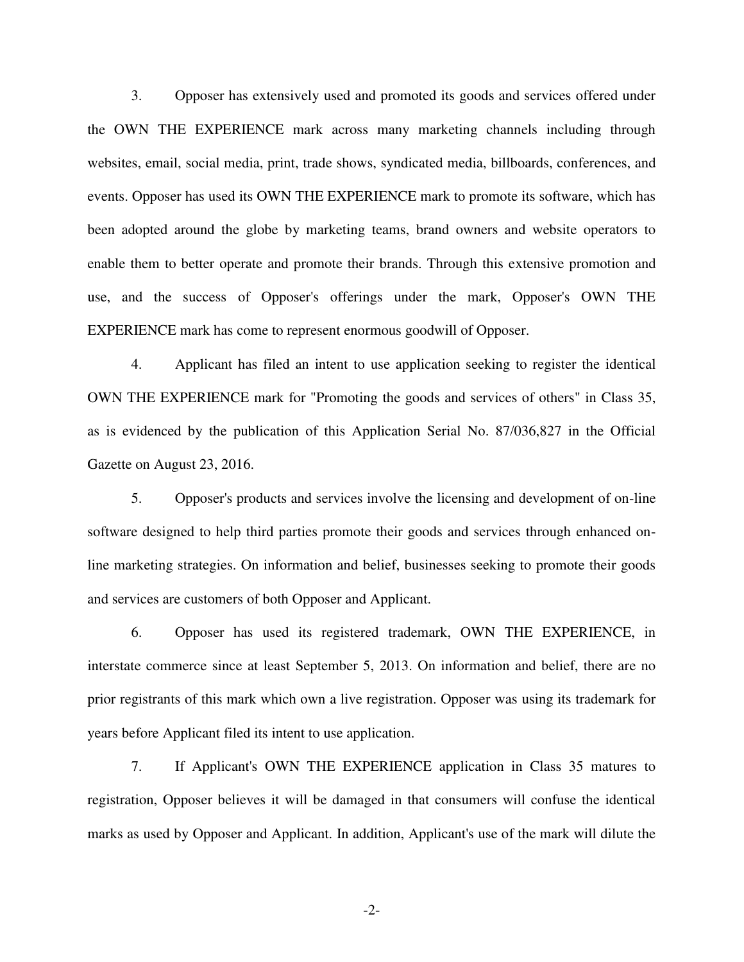3. Opposer has extensively used and promoted its goods and services offered under the OWN THE EXPERIENCE mark across many marketing channels including through websites, email, social media, print, trade shows, syndicated media, billboards, conferences, and events. Opposer has used its OWN THE EXPERIENCE mark to promote its software, which has been adopted around the globe by marketing teams, brand owners and website operators to enable them to better operate and promote their brands. Through this extensive promotion and use, and the success of Opposer's offerings under the mark, Opposer's OWN THE EXPERIENCE mark has come to represent enormous goodwill of Opposer.

4. Applicant has filed an intent to use application seeking to register the identical OWN THE EXPERIENCE mark for "Promoting the goods and services of others" in Class 35, as is evidenced by the publication of this Application Serial No. 87/036,827 in the Official Gazette on August 23, 2016.

5. Opposer's products and services involve the licensing and development of on-line software designed to help third parties promote their goods and services through enhanced online marketing strategies. On information and belief, businesses seeking to promote their goods and services are customers of both Opposer and Applicant.

6. Opposer has used its registered trademark, OWN THE EXPERIENCE, in interstate commerce since at least September 5, 2013. On information and belief, there are no prior registrants of this mark which own a live registration. Opposer was using its trademark for years before Applicant filed its intent to use application.

7. If Applicant's OWN THE EXPERIENCE application in Class 35 matures to registration, Opposer believes it will be damaged in that consumers will confuse the identical marks as used by Opposer and Applicant. In addition, Applicant's use of the mark will dilute the

-2-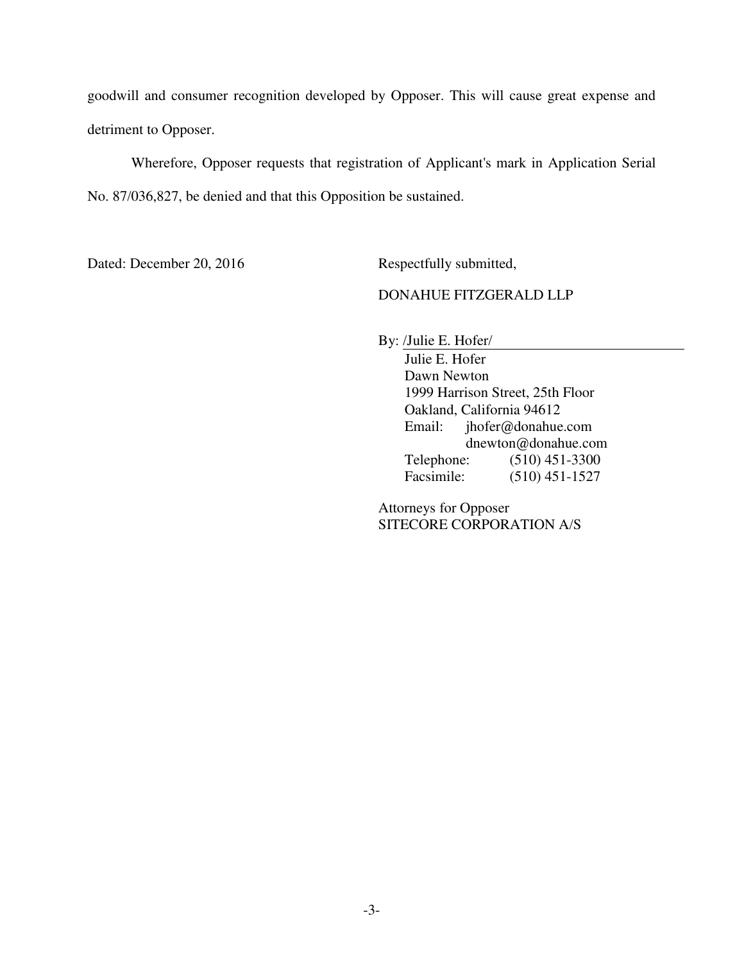goodwill and consumer recognition developed by Opposer. This will cause great expense and detriment to Opposer.

Wherefore, Opposer requests that registration of Applicant's mark in Application Serial No. 87/036,827, be denied and that this Opposition be sustained.

Dated: December 20, 2016 Respectfully submitted,

### DONAHUE FITZGERALD LLP

By: /Julie E. Hofer/

Julie E. Hofer Dawn Newton 1999 Harrison Street, 25th Floor Oakland, California 94612 Email: jhofer@donahue.com dnewton@donahue.com Telephone: (510) 451-3300 Facsimile: (510) 451-1527

Attorneys for Opposer SITECORE CORPORATION A/S